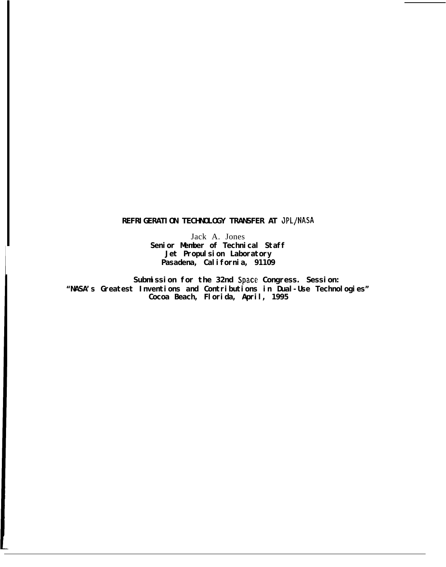# **REFRIGERATION TECHNOLOGY TRANSFER AT JPL/NASA**

Jack A. Jones Senior Member of Technical Staff **Jet Propulsion Laboratory Pasadena, California, 91109**

**Submission for the 32nd Space Congress. Session: "NASA's Greatest Inventions and Contributions in Dual-Use Technologies" Cocoa Beach, Florida, April, 1995**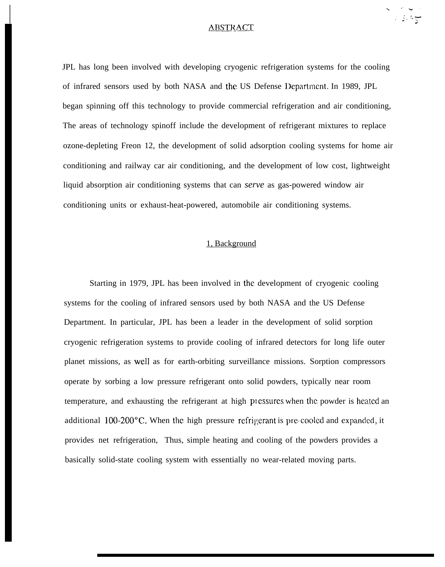#### ABSTRACT

23,95

I

JPL has long been involved with developing cryogenic refrigeration systems for the cooling of infrared sensors used by both NASA and the US Defense Department. In 1989, JPL began spinning off this technology to provide commercial refrigeration and air conditioning, The areas of technology spinoff include the development of refrigerant mixtures to replace ozone-depleting Freon 12, the development of solid adsorption cooling systems for home air conditioning and railway car air conditioning, and the development of low cost, lightweight liquid absorption air conditioning systems that can *serve* as gas-powered window air conditioning units or exhaust-heat-powered, automobile air conditioning systems.

## 1, Background

Starting in 1979, JPL has been involved in the development of cryogenic cooling systems for the cooling of infrared sensors used by both NASA and the US Defense Department. In particular, JPL has been a leader in the development of solid sorption cryogenic refrigeration systems to provide cooling of infrared detectors for long life outer planet missions, as well as for earth-orbiting surveillance missions. Sorption compressors operate by sorbing a low pressure refrigerant onto solid powders, typically near room temperature, and exhausting the refrigerant at high pressures when the powder is heated an additional  $100-200^{\circ}$ C. When the high pressure refrigerant is pre-cooled and expanded, it provides net refrigeration, Thus, simple heating and cooling of the powders provides a basically solid-state cooling system with essentially no wear-related moving parts.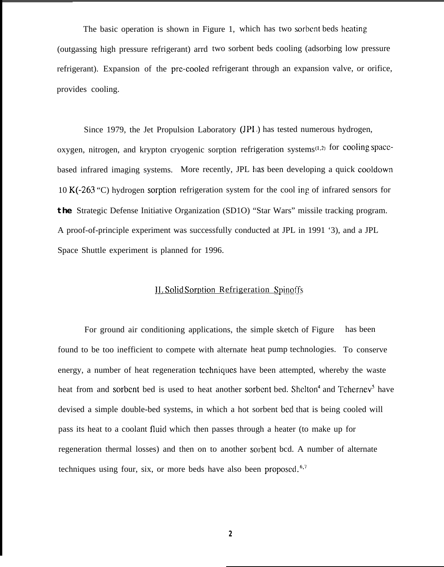The basic operation is shown in Figure 1, which has two sorbent beds heating (outgassing high pressure refrigerant) arrd two sorbent beds cooling (adsorbing low pressure refrigerant). Expansion of the pre-cooled refrigerant through an expansion valve, or orifice, provides cooling.

Since 1979, the Jet Propulsion Laboratory (JPI.) has tested numerous hydrogen, oxygen, nitrogen, and krypton cryogenic sorption refrigeration systems<sup>(1,2)</sup> for cooling spacebased infrared imaging systems. More recently, JPL has been developing a quick cooldown 10 K(-263 "C) hydrogen sorption refrigeration system for the cool ing of infrared sensors for **the** Strategic Defense Initiative Organization (SD1O) "Star Wars" missile tracking program. A proof-of-principle experiment was successfully conducted at JPL in 1991 '3), and a JPL Space Shuttle experiment is planned for 1996.

## ]1. Solid Sorwtion Refrigeration Spinoffs

For ground air conditioning applications, the simple sketch of Figure found to be too inefficient to compete with alternate heat pump technologies. To conserve has been energy, a number of heat regeneration techniques have been attempted, whereby the waste heat from and sorbent bed is used to heat another sorbent bed. Shelton<sup>4</sup> and Tchernev<sup>5</sup> have devised a simple double-bed systems, in which a hot sorbent bed that is being cooled will pass its heat to a coolant fluicl which then passes through a heater (to make up for regeneration thermal losses) and then on to another sorbent bcd. A number of alternate techniques using four, six, or more beds have also been proposed. $6,7$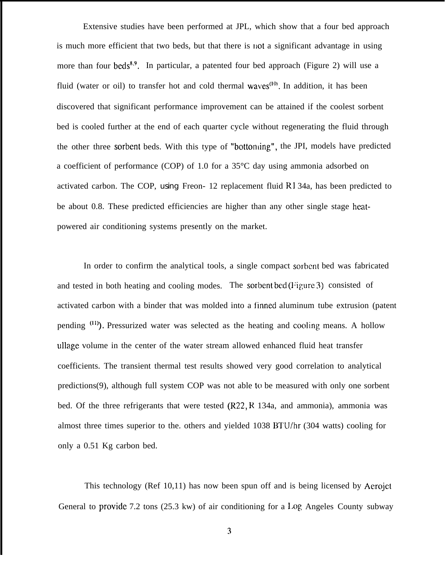Extensive studies have been performed at JPL, which show that a four bed approach is much more efficient that two beds, but that there is liot a significant advantage in using more than four beds<sup>8,9</sup>. In particular, a patented four bed approach (Figure 2) will use a fluid (water or oil) to transfer hot and cold thermal waves<sup> $(10)$ </sup>. In addition, it has been discovered that significant performance improvement can be attained if the coolest sorbent bed is cooled further at the end of each quarter cycle without regenerating the fluid through the other three sorbent beds. With this type of "bottonling", the JPI, models have predicted a coefficient of performance (COP) of 1.0 for a 35°C day using ammonia adsorbed on activated carbon. The COP, using Freon- 12 replacement fluid  $R134a$ , has been predicted to be about 0.8. These predicted efficiencies are higher than any other single stage heatpowered air conditioning systems presently on the market.

In order to confirm the analytical tools, a single compact sorbcnt bed was fabricated and tested in both heating and cooling modes. The sorbent bed ( $Figure 3$ ) consisted of activated carbon with a binder that was molded into a finned aluminum tube extrusion (patent pending  $(11)$ ). Pressurized water was selected as the heating and cooling means. A hollow ullage volume in the center of the water stream allowed enhanced fluid heat transfer coefficients. The transient thermal test results showed very good correlation to analytical predictions(9), although full system COP was not able to be measured with only one sorbent bed. Of the three refrigerants that were tested  $(R22, R 134a, and ammonia)$ , ammonia was almost three times superior to the. others and yielded 1038 BTU/hr (304 watts) cooling for only a 0.51 Kg carbon bed.

This technology (Ref 10,11) has now been spun off and is being licensed by Aerojet General to provide 7.2 tons  $(25.3 \text{ kw})$  of air conditioning for a Log Angeles County subway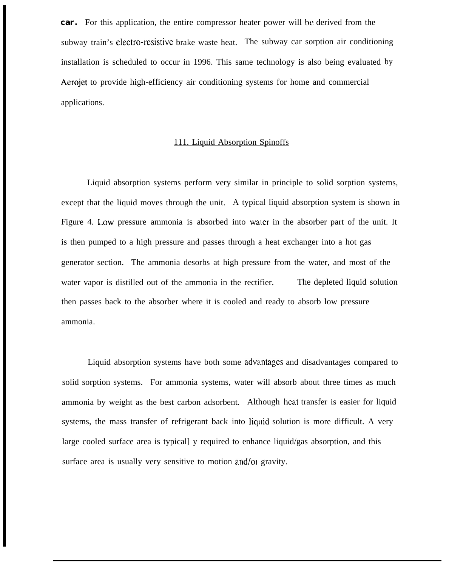**car.** For this application, the entire compressor heater power will bc derived from the subway train's electro-resistive brake waste heat. The subway car sorption air conditioning installation is scheduled to occur in 1996. This same technology is also being evaluated by Aerojet to provide high-efficiency air conditioning systems for home and commercial applications.

### 111. Liquid Absorption Spinoffs

Liquid absorption systems perform very similar in principle to solid sorption systems, except that the liquid moves through the unit. A typical liquid absorption system is shown in Figure 4. Low pressure ammonia is absorbed into water in the absorber part of the unit. It is then pumped to a high pressure and passes through a heat exchanger into a hot gas generator section. The ammonia desorbs at high pressure from the water, and most of the water vapor is distilled out of the ammonia in the rectifier. The depleted liquid solution then passes back to the absorber where it is cooled and ready to absorb low pressure ammonia.

Liquid absorption systems have both some adwmtages and disadvantages compared to solid sorption systems. For ammonia systems, water will absorb about three times as much ammonia by weight as the best carbon adsorbent. Although heat transfer is easier for liquid systems, the mass transfer of refrigerant back into liquid solution is more difficult. A very large cooled surface area is typical] y required to enhance liquid/gas absorption, and this surface area is usually very sensitive to motion and/or gravity.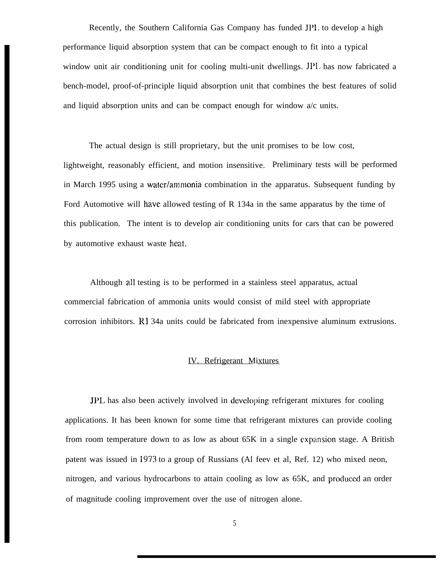Recently, the Southern California Gas Company has funded JP1. to develop a high performance liquid absorption system that can be compact enough to fit into a typical window unit air conditioning unit for cooling multi-unit dwellings. JPI, has now fabricated a bench-model, proof-of-principle liquid absorption unit that combines the best features of solid and liquid absorption units and can be compact enough for window  $a/c$  units.

The actual design is still proprietary, but the unit promises to be low cost, lightweight, reasonably efficient, and motion insensitive. Preliminary tests will be performed in March 1995 using a water/ammonia combination in the apparatus. Subsequent funding by Ford Automotive will have allowed testing of R 134a in the same apparatus by the time of this publication. The intent is to develop air conditioning units for cars that can be powered by automotive exhaust waste heat.

Although all testing is to be performed in a stainless steel apparatus, actual commercial fabrication of ammonia units would consist of mild steel with appropriate corrosion inhibitors. R1 34a units could be fabricated from inexpensive aluminum extrusions.

### IV. Refrigerant Mixtures

JPL has also been actively involved in developing refrigerant mixtures for cooling applications. It has been known for some time that refrigerant mixtures can provide cooling from room temperature down to as low as about  $65K$  in a single expansion stage. A British patent was issued in 1973 to a group of Russians (Al feev et al, Ref. 12) who mixed neon, nitrogen, and various hydrocarbons to attain cooling as low as 65K, and produced an order of magnitude cooling improvement over the use of nitrogen alone.

5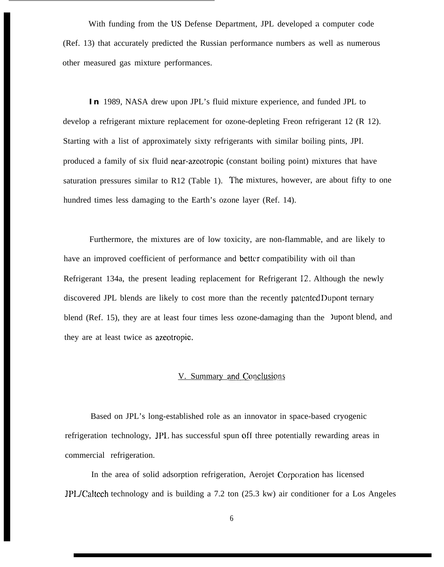With funding from the US Defense Department, JPL developed a computer code (Ref. 13) that accurately predicted the Russian performance numbers as well as numerous other measured gas mixture performances.

**In** 1989, NASA drew upon JPL's fluid mixture experience, and funded JPL to develop a refrigerant mixture replacement for ozone-depleting Freon refrigerant 12 (R 12). Starting with a list of approximately sixty refrigerants with similar boiling pints, JPI. produced a family of six fluid near-azeotropic (constant boiling point) mixtures that have saturation pressures similar to  $R12$  (Table 1). The mixtures, however, are about fifty to one hundred times less damaging to the Earth's ozone layer (Ref. 14).

Furthermore, the mixtures are of low toxicity, are non-flammable, and are likely to have an improved coefficient of performance and better compatibility with oil than Refrigerant 134a, the present leading replacement for Refrigerant 12. Although the newly discovered JPL blends are likely to cost more than the recently patented Dupont ternary blend (Ref. 15), they are at least four times less ozone-damaging than the Jupont blend, and they are at least twice as azeotropic.

# V. Summary and Conclusions

Based on JPL's long-established role as an innovator in space-based cryogenic refrigeration technology, JPL has successful spun off three potentially rewarding areas in commercial refrigeration.

In the area of solid adsorption refrigeration, Aerojet Corporation has licensed JPL/Caltech technology and is building a 7.2 ton (25.3 kw) air conditioner for a Los Angeles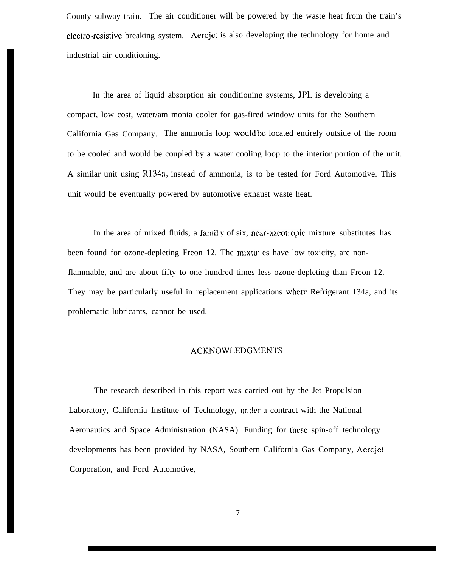County subway train. The air conditioner will be powered by the waste heat from the train's electro-resistive breaking system. Aerojet is also developing the technology for home and industrial air conditioning.

In the area of liquid absorption air conditioning systems, JPI. is developing a compact, low cost, water/am monia cooler for gas-fired window units for the Southern California Gas Company. The ammonia loop wouId bc located entirely outside of the room to be cooled and would be coupled by a water cooling loop to the interior portion of the unit. A similar unit using R134a, instead of ammonia, is to be tested for Ford Automotive. This unit would be eventually powered by automotive exhaust waste heat.

In the area of mixed fluids, a farnil y of six, near-azeotropic mixture substitutes has been found for ozone-depleting Freon 12. The mixtui es have low toxicity, are nonflammable, and are about fifty to one hundred times less ozone-depleting than Freon 12. They may be particularly useful in replacement applications where. Refrigerant 134a, and its problematic lubricants, cannot be used.

#### ACKNOWLEDGMENTS

The research described in this report was carried out by the Jet Propulsion Laboratory, California Institute of Technology, under a contract with the National Aeronautics and Space Administration (NASA). Funding for these spin-off technology developments has been provided by NASA, Southern California Gas Company, Acrojet Corporation, and Ford Automotive,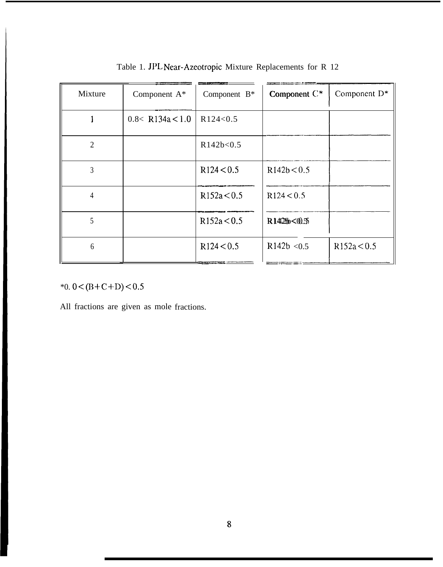| Mixture        | Component $A^*$      | Component $B^*$ | Component C* | Component $D^*$ |
|----------------|----------------------|-----------------|--------------|-----------------|
|                | $0.8<$ R134a $<$ 1.0 | R124<0.5        |              |                 |
| $\overline{2}$ |                      | R142b<0.5       |              |                 |
| $\overline{3}$ |                      | R124 < 0.5      | R142b < 0.5  |                 |
| $\overline{4}$ |                      | R152a < 0.5     | R124 < 0.5   |                 |
| 5              |                      | R152a < 0.5     | R142b<0.5    |                 |
| 6              |                      | R124 < 0.5      | R142b < 0.5  | R152a < 0.5     |

Table 1. JPL Near-Azeotropic Mixture Replacements for R 12

\*0.  $0 < (B+C+D) < 0.5$ 

All fractions are given as mole fractions.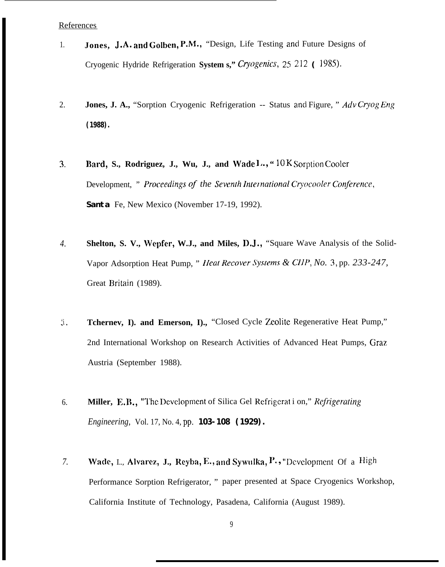References

- Jones, J.A. and Golben, P.M., "Design, Life Testing and Future Designs of  $1.$ Cryogenic Hydride Refrigeration System s." Cryogenics, 25 212 (1985).
- 2. Jones, J. A., "Sorption Cryogenic Refrigeration -- Status and Figure, " Adv Cryog Eng  $(1988)$ .
- Bard, S., Rodriguez, J., Wu, J., and Wade  $l_0$ , "10 K Sorption Cooler  $\overline{3}$ . Development, " Proceedings of the Seventh International Cryocooler Conference, Santa Fe, New Mexico (November 17-19, 1992).
- Shelton, S. V., Wepfer, W.J., and Miles, D.J., "Square Wave Analysis of the Solid- $\overline{4}$ . Vapor Adsorption Heat Pump, " *Heat Recover Systems & CIIP*, *No.* 3, pp. 233-247, Great Britain (1989).
- $\mathfrak{I}.$ Tcherney, I). and Emerson, I)., "Closed Cycle Zeolite Regenerative Heat Pump," 2nd International Workshop on Research Activities of Advanced Heat Pumps, Graz Austria (September 1988).
- Miller, E.B., "The Development of Silica Gel Refrigeration," Refrigerating 6. *Engineering, Vol. 17, No. 4, pp. 103-108 (1929).*
- Wade, L., Alvarez, J., Reyba, E., and Sywulka, P., "Development Of a High  $7.$ Performance Sorption Refrigerator, " paper presented at Space Cryogenics Workshop, California Institute of Technology, Pasadena, California (August 1989).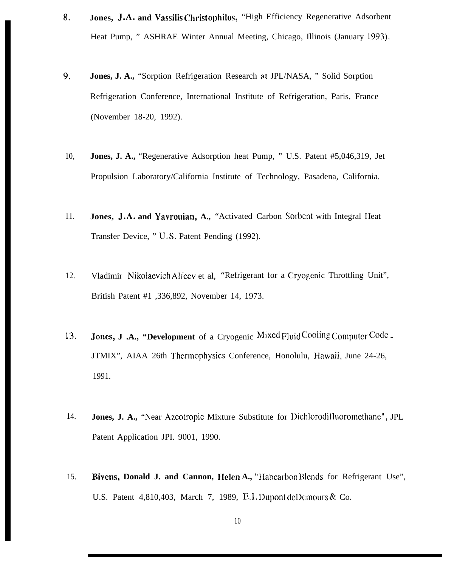- 8. **Jones, J.A. and Vassilis Christophilos,** "High Efficiency Regenerative Adsorbent Heat Pump, " ASHRAE Winter Annual Meeting, Chicago, Illinois (January 1993).
- **9, Jones, J. A.,** "Sorption Refrigeration Research at JPL/NASA, " Solid Sorption Refrigeration Conference, International Institute of Refrigeration, Paris, France (November 18-20, 1992).
- 10, **Jones, J. A.,** "Regenerative Adsorption heat Pump, " U.S. Patent #5,046,319, Jet Propulsion Laboratory/California Institute of Technology, Pasadena, California.
- 11. **Jones, J.A. and Yavrouian, A.,** "Activated Carbon Sorbent with Integral Heat Transfer Device, " U.S. Patent Pending (1992).
- 12. Vladimir Nikolaevich Alfeev et al, "Refrigerant for a Cryogenic Throttling Unit", British Patent #1 ,336,892, November 14, 1973.
- 13. **Jones, J.A., "Development** of a Cryogenic Mixed Fluid Cooling Computer Code -JTMIX", AIAA 26th Thermophysics Conference, Honolulu, IIawaii, June 24-26, 1991.
- 14. **Jones, J. A.,** "Near Azeotropic Mixture Substitute for IJichlorodifluoromcthanc", JPL Patent Application JPI. 9001, 1990.
- 15. **Bivens, Donald J. and Cannon, Helen A.,** "Habcarbon Blends for Refrigerant Use", U.S. Patent  $4,810,403$ , March 7, 1989, E.I. Dupont del Demours & Co.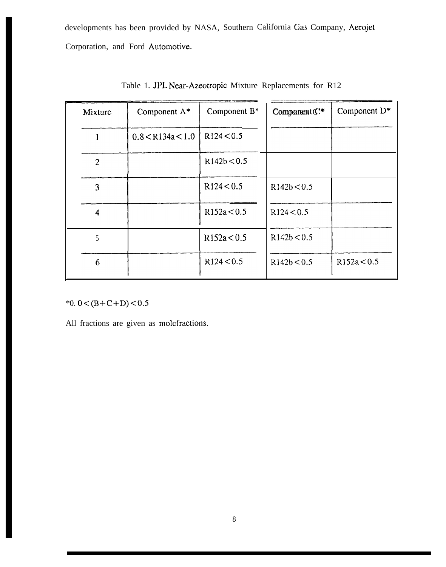developments has been provided by NASA, Southern California Gas Company, Aerojet Corporation, and Ford Automotive.

| Mixture        | Component A*          | Component $B^*$ | Component $\mathbb{C}^*$ | Component $D^*$ |
|----------------|-----------------------|-----------------|--------------------------|-----------------|
|                | $0.8 <$ R134a $< 1.0$ | R124 < 0.5      |                          |                 |
| $\overline{2}$ |                       | R142b < 0.5     |                          |                 |
| 3              |                       | R124 < 0.5      | R142b < 0.5              |                 |
| $\overline{4}$ |                       | R152a < 0.5     | R124 < 0.5               |                 |
| 5              |                       | R152a < 0.5     | R142b < 0.5              |                 |
| 6              |                       | R124 < 0.5      | R142b < 0.5              | R152a < 0.5     |

Table 1. JPL Near-Azeotropic Mixture Replacements for R12

\*0.0 <  $(B+C+D)$  < 0.5

All fractions are given as molefractions.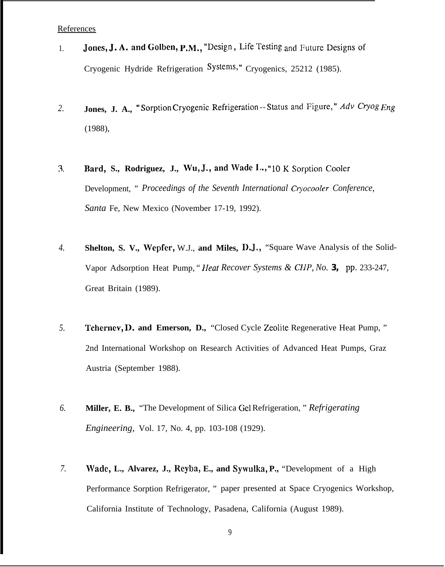References

- Jones, J. A. and Golben, P.M., "Design, Life Testing and Future Designs of  $1.$ Cryogenic Hydride Refrigeration Systems," Cryogenics, 25212 (1985).
- Jones, J. A., "Sorption Cryogenic Refrigeration -- Status and Figure," Adv Cryog Eng 2.  $(1988),$
- Bard, S., Rodriguez, J., Wu, J., and Wade I., "10 K Sorption Cooler  $\mathfrak{Z}$ . Development, " Proceedings of the Seventh International Cryocooler Conference, Santa Fe, New Mexico (November 17-19, 1992).
- Shelton, S. V., Wepfer, W.J., and Miles, D.J., "Square Wave Analysis of the Solid- $\overline{4}$ . Vapor Adsorption Heat Pump, "*Heat Recover Systems & CHP, No.* 3, pp. 233-247, Great Britain (1989).
- 5. Tcherney, D. and Emerson, D., "Closed Cycle Zeolite Regenerative Heat Pump," 2nd International Workshop on Research Activities of Advanced Heat Pumps, Graz Austria (September 1988).
- 6. Miller, E. B., "The Development of Silica Gel Refrigeration," Refrigerating *Engineering, Vol. 17, No. 4, pp. 103-108 (1929).*
- 7. Wade, L., Alvarez, J., Reyba, E., and Sywulka, P., "Development of a High Performance Sorption Refrigerator, " paper presented at Space Cryogenics Workshop, California Institute of Technology, Pasadena, California (August 1989).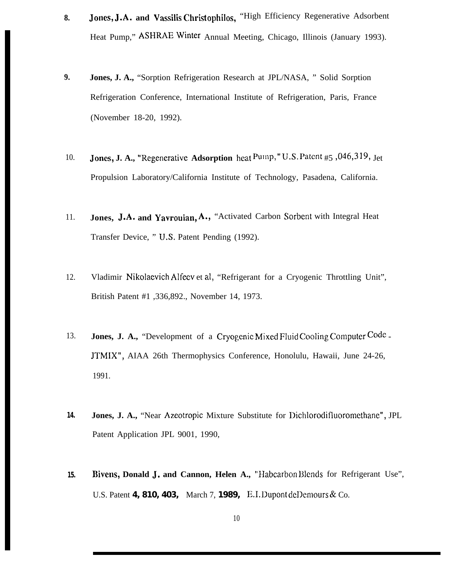- 8. **Jones, J.A. and Vassilis Christophilos,** "High Efficiency Regenerative Adsorbent Heat Pump," ASHRAEWinter Annual Meeting, Chicago, Illinois (January 1993).
- **9. Jones, J. A.,** "Sorption Refrigeration Research at JPL/NASA, " Solid Sorption Refrigeration Conference, International Institute of Refrigeration, Paris, France (November 18-20, 1992).
- 10. **Jones, J. A., "Regenerative Adsorption** heat Pump," U.S. Patent #5,046,319, Jet Propulsion Laboratory/California Institute of Technology, Pasadena, California.
- 11. **Jones, J.A. and Yavrouian, A.,** "Activated Carbon Sorbent with Integral Heat Transfer Device, " IJ.S. Patent Pending (1992).
- 12. Vladimir Nikolaevich Alfeev et al, "Refrigerant for a Cryogenic Throttling Unit", British Patent #1 ,336,892., November 14, 1973.
- 13. **Jones, J. A.,** "Development of a Cryogenic Mixed Fluid Cooling Computer Code -JTMIX", AIAA 26th Thermophysics Conference, Honolulu, Hawaii, June 24-26, 1991.
- **14. Jones, J. A.,** "Near Azeotropic Mixture Substitute for Dichlorodifluoromethane", JPL Patent Application JPL 9001, 1990,
- 15. **Bivens, Donald J. and Cannon, Helen A.,** "Habcarbon Blends for Refrigerant Use", U.S. Patent **4,810,403,** March 7, **1989,** E.I. Dupont dellernours & Co.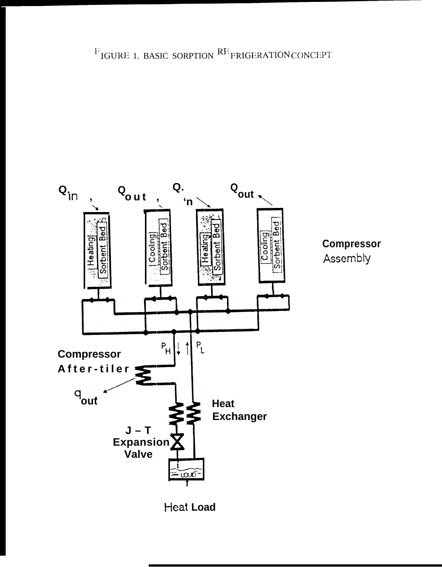$\rm ^{F}$  IGURE 1. BASIC SORPTION  $\rm ^{RF}$  FRIGERATION CONCEPT





Assembly

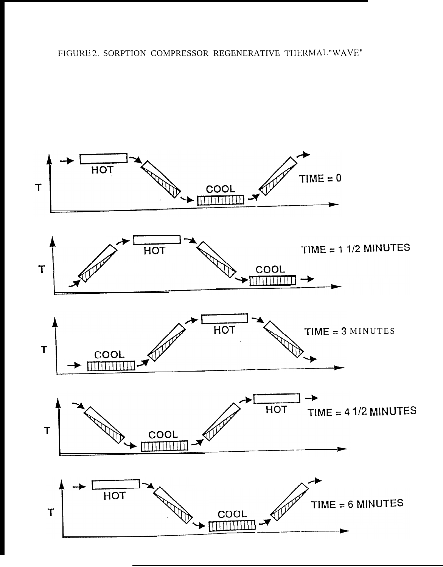FIGURE 2. SORPTION COMPRESSOR REGENERATIVE THERMAL "WAVE"

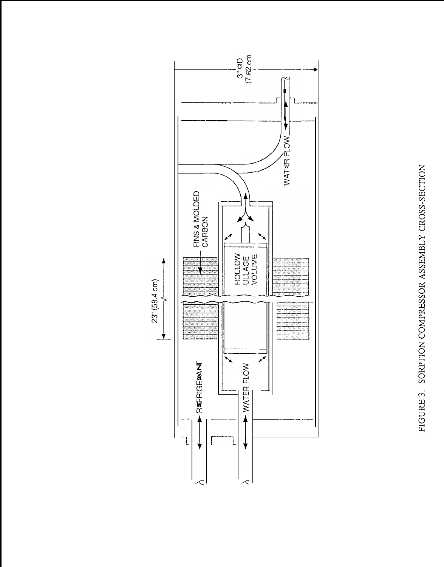